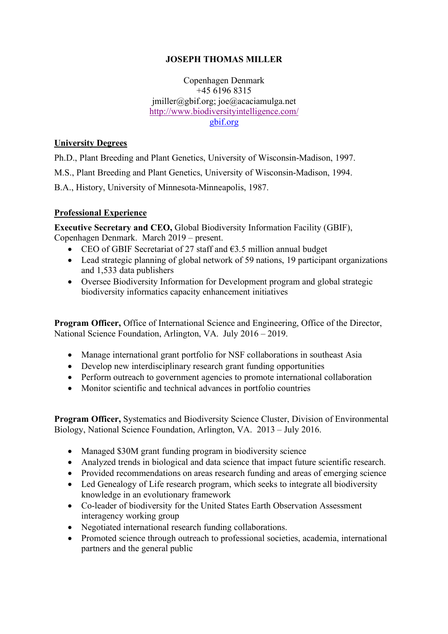# **JOSEPH THOMAS MILLER**

Copenhagen Denmark +45 6196 8315 jmiller@gbif.org; joe@acaciamulga.net http://www.biodiversityintelligence.com/ gbif.org

## **University Degrees**

Ph.D., Plant Breeding and Plant Genetics, University of Wisconsin-Madison, 1997. M.S., Plant Breeding and Plant Genetics, University of Wisconsin-Madison, 1994. B.A., History, University of Minnesota-Minneapolis, 1987.

## **Professional Experience**

**Executive Secretary and CEO,** Global Biodiversity Information Facility (GBIF), Copenhagen Denmark. March 2019 – present.

- CEO of GBIF Secretariat of 27 staff and  $63.5$  million annual budget
- Lead strategic planning of global network of 59 nations, 19 participant organizations and 1,533 data publishers
- Oversee Biodiversity Information for Development program and global strategic biodiversity informatics capacity enhancement initiatives

**Program Officer,** Office of International Science and Engineering, Office of the Director, National Science Foundation, Arlington, VA. July 2016 – 2019.

- Manage international grant portfolio for NSF collaborations in southeast Asia
- Develop new interdisciplinary research grant funding opportunities
- Perform outreach to government agencies to promote international collaboration
- Monitor scientific and technical advances in portfolio countries

**Program Officer,** Systematics and Biodiversity Science Cluster, Division of Environmental Biology, National Science Foundation, Arlington, VA. 2013 – July 2016.

- Managed \$30M grant funding program in biodiversity science
- Analyzed trends in biological and data science that impact future scientific research.
- Provided recommendations on areas research funding and areas of emerging science
- Led Genealogy of Life research program, which seeks to integrate all biodiversity knowledge in an evolutionary framework
- Co-leader of biodiversity for the United States Earth Observation Assessment interagency working group
- Negotiated international research funding collaborations.
- Promoted science through outreach to professional societies, academia, international partners and the general public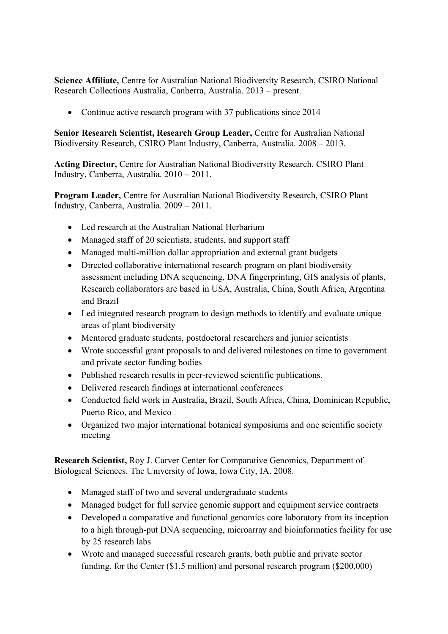**Science Affiliate,** Centre for Australian National Biodiversity Research, CSIRO National Research Collections Australia, Canberra, Australia. 2013 – present.

• Continue active research program with 37 publications since 2014

**Senior Research Scientist, Research Group Leader,** Centre for Australian National Biodiversity Research, CSIRO Plant Industry, Canberra, Australia. 2008 – 2013.

**Acting Director,** Centre for Australian National Biodiversity Research, CSIRO Plant Industry, Canberra, Australia. 2010 – 2011.

**Program Leader,** Centre for Australian National Biodiversity Research, CSIRO Plant Industry, Canberra, Australia. 2009 – 2011.

- Led research at the Australian National Herbarium
- Managed staff of 20 scientists, students, and support staff
- Managed multi-million dollar appropriation and external grant budgets
- Directed collaborative international research program on plant biodiversity assessment including DNA sequencing, DNA fingerprinting, GIS analysis of plants, Research collaborators are based in USA, Australia, China, South Africa, Argentina and Brazil
- Led integrated research program to design methods to identify and evaluate unique areas of plant biodiversity
- Mentored graduate students, postdoctoral researchers and junior scientists
- Wrote successful grant proposals to and delivered milestones on time to government and private sector funding bodies
- Published research results in peer-reviewed scientific publications.
- Delivered research findings at international conferences
- Conducted field work in Australia, Brazil, South Africa, China, Dominican Republic, Puerto Rico, and Mexico
- Organized two major international botanical symposiums and one scientific society meeting

**Research Scientist,** Roy J. Carver Center for Comparative Genomics, Department of Biological Sciences, The University of Iowa, Iowa City, IA. 2008.

- Managed staff of two and several undergraduate students
- Managed budget for full service genomic support and equipment service contracts
- Developed a comparative and functional genomics core laboratory from its inception to a high through-put DNA sequencing, microarray and bioinformatics facility for use by 25 research labs
- Wrote and managed successful research grants, both public and private sector funding, for the Center (\$1.5 million) and personal research program (\$200,000)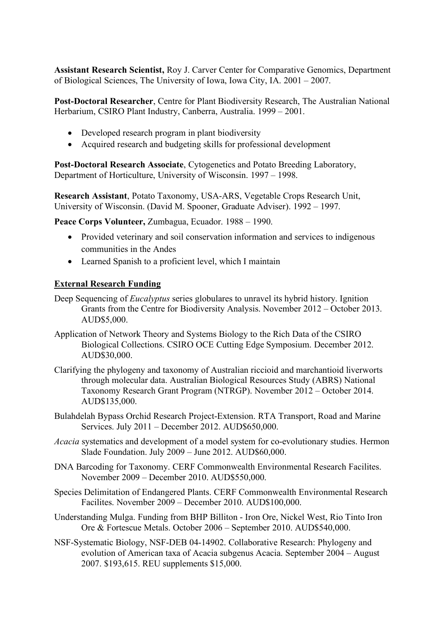**Assistant Research Scientist,** Roy J. Carver Center for Comparative Genomics, Department of Biological Sciences, The University of Iowa, Iowa City, IA. 2001 – 2007.

**Post-Doctoral Researcher**, Centre for Plant Biodiversity Research, The Australian National Herbarium, CSIRO Plant Industry, Canberra, Australia. 1999 – 2001.

- Developed research program in plant biodiversity
- Acquired research and budgeting skills for professional development

**Post-Doctoral Research Associate**, Cytogenetics and Potato Breeding Laboratory, Department of Horticulture, University of Wisconsin. 1997 – 1998.

**Research Assistant**, Potato Taxonomy, USA-ARS, Vegetable Crops Research Unit, University of Wisconsin. (David M. Spooner, Graduate Adviser). 1992 – 1997.

**Peace Corps Volunteer,** Zumbagua, Ecuador. 1988 – 1990.

- Provided veterinary and soil conservation information and services to indigenous communities in the Andes
- Learned Spanish to a proficient level, which I maintain

### **External Research Funding**

- Deep Sequencing of *Eucalyptus* series globulares to unravel its hybrid history. Ignition Grants from the Centre for Biodiversity Analysis. November 2012 – October 2013. AUD\$5,000.
- Application of Network Theory and Systems Biology to the Rich Data of the CSIRO Biological Collections. CSIRO OCE Cutting Edge Symposium. December 2012. AUD\$30,000.
- Clarifying the phylogeny and taxonomy of Australian riccioid and marchantioid liverworts through molecular data. Australian Biological Resources Study (ABRS) National Taxonomy Research Grant Program (NTRGP). November 2012 – October 2014. AUD\$135,000.
- Bulahdelah Bypass Orchid Research Project-Extension. RTA Transport, Road and Marine Services. July 2011 – December 2012. AUD\$650,000.
- *Acacia* systematics and development of a model system for co-evolutionary studies. Hermon Slade Foundation. July 2009 – June 2012. AUD\$60,000.
- DNA Barcoding for Taxonomy. CERF Commonwealth Environmental Research Facilites. November 2009 – December 2010. AUD\$550,000.
- Species Delimitation of Endangered Plants. CERF Commonwealth Environmental Research Facilites. November 2009 – December 2010. AUD\$100,000.
- Understanding Mulga. Funding from BHP Billiton Iron Ore, Nickel West, Rio Tinto Iron Ore & Fortescue Metals. October 2006 – September 2010. AUD\$540,000.
- NSF-Systematic Biology, NSF-DEB 04-14902. Collaborative Research: Phylogeny and evolution of American taxa of Acacia subgenus Acacia. September 2004 – August 2007. \$193,615. REU supplements \$15,000.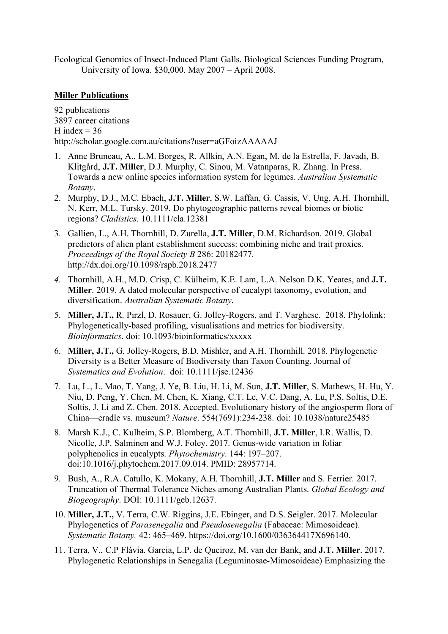Ecological Genomics of Insect-Induced Plant Galls. Biological Sciences Funding Program, University of Iowa. \$30,000. May 2007 – April 2008.

## **Miller Publications**

92 publications 3897 career citations H index  $= 36$ http://scholar.google.com.au/citations?user=aGFoizAAAAAJ

- 1. Anne Bruneau, A., L.M. Borges, R. Allkin, A.N. Egan, M. de la Estrella, F. Javadi, B. Klitgård, **J.T. Miller**, D.J. Murphy, C. Sinou, M. Vatanparas, R. Zhang. In Press. Towards a new online species information system for legumes. *Australian Systematic Botany*.
- 2. Murphy, D.J., M.C. Ebach, **J.T. Miller**, S.W. Laffan, G. Cassis, V. Ung, A.H. Thornhill, N. Kerr, M.L. Tursky. 2019. Do phytogeographic patterns reveal biomes or biotic regions? *Cladistics*. 10.1111/cla.12381
- 3. Gallien, L., A.H. Thornhill, D. Zurella, **J.T. Miller**, D.M. Richardson. 2019. Global predictors of alien plant establishment success: combining niche and trait proxies. *Proceedings of the Royal Society B* 286: 20182477. http://dx.doi.org/10.1098/rspb.2018.2477
- *4.* Thornhill, A.H., M.D. Crisp, C. Külheim, K.E. Lam, L.A. Nelson D.K. Yeates, and **J.T. Miller**. 2019. A dated molecular perspective of eucalypt taxonomy, evolution, and diversification. *Australian Systematic Botany*.
- 5. **Miller, J.T.,** R. Pirzl, D. Rosauer, G. Jolley-Rogers, and T. Varghese. 2018. Phylolink: Phylogenetically-based profiling, visualisations and metrics for biodiversity. *Bioinformatics*. doi: 10.1093/bioinformatics/xxxxx
- 6. **Miller, J.T.,** G. Jolley-Rogers, B.D. Mishler, and A.H. Thornhill. 2018. Phylogenetic Diversity is a Better Measure of Biodiversity than Taxon Counting. Journal of *Systematics and Evolution*. doi: 10.1111/jse.12436
- 7. Lu, L., L. Mao, T. Yang, J. Ye, B. Liu, H. Li, M. Sun, **J.T. Miller**, S. Mathews, H. Hu, Y. Niu, D. Peng, Y. Chen, M. Chen, K. Xiang, C.T. Le, V.C. Dang, A. Lu, P.S. Soltis, D.E. Soltis, J. Li and Z. Chen. 2018. Accepted. Evolutionary history of the angiosperm flora of China—cradle vs. museum? *Nature*. 554(7691):234-238. doi: 10.1038/nature25485
- 8. Marsh K.J., C. Kulheim, S.P. Blomberg, A.T. Thornhill, **J.T. Miller**, I.R. Wallis, D. Nicolle, J.P. Salminen and W.J. Foley. 2017. Genus-wide variation in foliar polyphenolics in eucalypts. *Phytochemistry*. 144: 197–207. doi:10.1016/j.phytochem.2017.09.014. PMID: 28957714.
- 9. Bush, A., R.A. Catullo, K. Mokany, A.H. Thornhill, **J.T. Miller** and S. Ferrier. 2017. Truncation of Thermal Tolerance Niches among Australian Plants. *Global Ecology and Biogeography*. DOI: 10.1111/geb.12637.
- 10. **Miller, J.T.,** V. Terra, C.W. Riggins, J.E. Ebinger, and D.S. Seigler. 2017. Molecular Phylogenetics of *Parasenegalia* and *Pseudosenegalia* (Fabaceae: Mimosoideae). *Systematic Botany.* 42: 465–469. https://doi.org/10.1600/036364417X696140.
- 11. Terra, V., C.P Flávia. Garcia, L.P. de Queiroz, M. van der Bank, and **J.T. Miller**. 2017. Phylogenetic Relationships in Senegalia (Leguminosae-Mimosoideae) Emphasizing the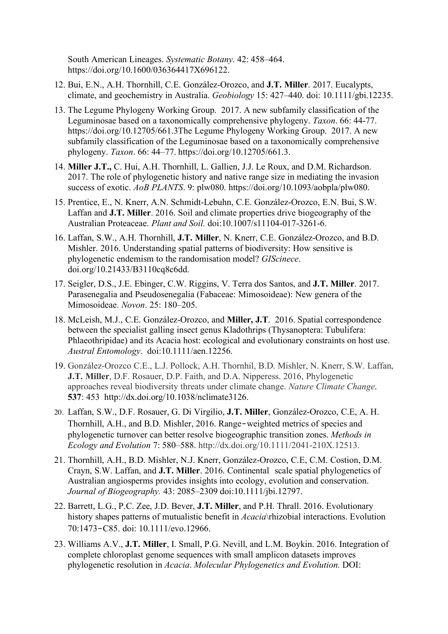South American Lineages. *Systematic Botany*. 42: 458–464. https://doi.org/10.1600/036364417X696122.

- 12. Bui, E.N., A.H. Thornhill, C.E. González-Orozco, and **J.T. Miller**. 2017. Eucalypts, climate, and geochemistry in Australia. *Geobiology* 15: 427–440. doi: 10.1111/gbi.12235.
- 13. The Legume Phylogeny Working Group. 2017. A new subfamily classification of the Leguminosae based on a taxonomically comprehensive phylogeny. *Taxon*. 66: 44-77. https://doi.org/10.12705/661.3The Legume Phylogeny Working Group. 2017. A new subfamily classification of the Leguminosae based on a taxonomically comprehensive phylogeny. *Taxon*. 66: 44–77. https://doi.org/10.12705/661.3.
- 14. **Miller J.T.,** C. Hui, A.H. Thornhill, L. Gallien, J.J. Le Roux, and D.M. Richardson. 2017. The role of phylogenetic history and native range size in mediating the invasion success of exotic. *AoB PLANTS*. 9: plw080. https://doi.org/10.1093/aobpla/plw080.
- 15. Prentice, E., N. Knerr, A.N. Schmidt-Lebuhn, C.E. González-Orozco, E.N. Bui, S.W. Laffan and **J.T. Miller**. 2016. Soil and climate properties drive biogeography of the Australian Proteaceae. *Plant and Soil.* doi:10.1007/s11104-017-3261-6.
- 16. Laffan, S.W., A.H. Thornhill, **J.T. Miller**, N. Knerr, C.E. González-Orozco, and B.D. Mishler. 2016. Understanding spatial patterns of biodiversity: How sensitive is phylogenetic endemism to the randomisation model? *GIScinece*. doi.org/10.21433/B3110cq8c6dd.
- 17. Seigler, D.S., J.E. Ebinger, C.W. Riggins, V. Terra dos Santos, and **J.T. Miller**. 2017. Parasenegalia and Pseudosenegalia (Fabaceae: Mimosoideae): New genera of the Mimosoideae. *Novon*. 25: 180–205.
- 18. McLeish, M.J., C.E. González-Orozco, and **Miller, J.T**. 2016. Spatial correspondence between the specialist galling insect genus Kladothrips (Thysanoptera: Tubulifera: Phlaeothripidae) and its Acacia host: ecological and evolutionary constraints on host use. *Austral Entomology*. doi:10.1111/aen.12256.
- 19. González-Orozco C.E., L.J. Pollock, A.H. Thornhil, B.D. Mishler, N. Knerr, S.W. Laffan, **J.T. Miller**, D.F. Rosauer, D.P. Faith, and D.A. Nipperess. 2016, Phylogenetic approaches reveal biodiversity threats under climate change. *Nature Climate Change*. **537**: 453 http://dx.doi.org/10.1038/nclimate3126.
- 20. Laffan, S.W., D.F. Rosauer, G. Di Virgilio, **J.T. Miller**, González-Orozco, C.E, A. H. Thornhill, A.H., and B.D. Mishler, 2016. Range-weighted metrics of species and phylogenetic turnover can better resolve biogeographic transition zones. *Methods in Ecology and Evolution* 7: 580–588. http://dx.doi.org/10.1111/2041-210X.12513.
- 21. Thornhill, A.H., B.D. Mishler, N.J. Knerr, González-Orozco, C.E, C.M. Costion, D.M. Crayn, S.W. Laffan, and **J.T. Miller**. 2016. Continental scale spatial phylogenetics of Australian angiosperms provides insights into ecology, evolution and conservation. *Journal of Biogeography.* 43: 2085–2309 doi:10.1111/jbi.12797.
- 22. Barrett, L.G., P.C. Zee, J.D. Bever, **J.T. Miller**, and P.H. Thrall. 2016. Evolutionary history shapes patterns of mutualistic benefit in *Acacia*\rhizobial interactions. Evolution 70:1473-C85. doi: 10.1111/evo.12966.
- 23. Williams A.V., **J.T. Miller**, I. Small, P.G. Nevill, and L.M. Boykin. 2016. Integration of complete chloroplast genome sequences with small amplicon datasets improves phylogenetic resolution in *Acacia*. *Molecular Phylogenetics and Evolution.* DOI: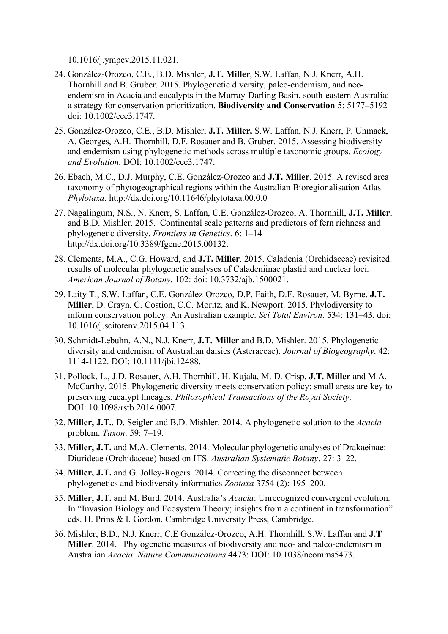10.1016/j.ympev.2015.11.021.

- 24. González-Orozco, C.E., B.D. Mishler, **J.T. Miller**, S.W. Laffan, N.J. Knerr, A.H. Thornhill and B. Gruber. 2015. Phylogenetic diversity, paleo-endemism, and neoendemism in Acacia and eucalypts in the Murray-Darling Basin, south-eastern Australia: a strategy for conservation prioritization. **Biodiversity and Conservation** 5: 5177–5192 doi: 10.1002/ece3.1747.
- 25. González-Orozco, C.E., B.D. Mishler, **J.T. Miller,** S.W. Laffan, N.J. Knerr, P. Unmack, A. Georges, A.H. Thornhill, D.F. Rosauer and B. Gruber. 2015. Assessing biodiversity and endemism using phylogenetic methods across multiple taxonomic groups. *Ecology and Evolution*. DOI: 10.1002/ece3.1747.
- 26. Ebach, M.C., D.J. Murphy, C.E. González-Orozco and **J.T. Miller**. 2015. A revised area taxonomy of phytogeographical regions within the Australian Bioregionalisation Atlas. *Phylotaxa*. http://dx.doi.org/10.11646/phytotaxa.00.0.0
- 27. Nagalingum, N.S., N. Knerr, S. Laffan, C.E. González-Orozco, A. Thornhill, **J.T. Miller**, and B.D. Mishler. 2015. Continental scale patterns and predictors of fern richness and phylogenetic diversity. *Frontiers in Genetics*. 6: 1–14 http://dx.doi.org/10.3389/fgene.2015.00132.
- 28. Clements, M.A., C.G. Howard, and **J.T. Miller**. 2015. Caladenia (Orchidaceae) revisited: results of molecular phylogenetic analyses of Caladeniinae plastid and nuclear loci. *American Journal of Botany*. 102: doi: 10.3732/ajb.1500021.
- 29. Laity T., S.W. Laffan, C.E. González-Orozco, D.P. Faith, D.F. Rosauer, M. Byrne, **J.T. Miller**, D. Crayn, C. Costion, C.C. Moritz, and K. Newport. 2015. Phylodiversity to inform conservation policy: An Australian example. *Sci Total Environ*. 534: 131–43. doi: 10.1016/j.scitotenv.2015.04.113.
- 30. Schmidt-Lebuhn, A.N., N.J. Knerr, **J.T. Miller** and B.D. Mishler. 2015. Phylogenetic diversity and endemism of Australian daisies (Asteraceae). *Journal of Biogeography*. 42: 1114-1122. DOI: 10.1111/jbi.12488.
- 31. Pollock, L., J.D. Rosauer, A.H. Thornhill, H. Kujala, M. D. Crisp, **J.T. Miller** and M.A. McCarthy. 2015. Phylogenetic diversity meets conservation policy: small areas are key to preserving eucalypt lineages. *Philosophical Transactions of the Royal Society*. DOI: 10.1098/rstb.2014.0007.
- 32. **Miller, J.T.**, D. Seigler and B.D. Mishler. 2014. A phylogenetic solution to the *Acacia* problem. *Taxon*. 59: 7–19.
- 33. **Miller, J.T.** and M.A. Clements. 2014. Molecular phylogenetic analyses of Drakaeinae: Diurideae (Orchidaceae) based on ITS. *Australian Systematic Botany*. 27: 3–22.
- 34. **Miller, J.T.** and G. Jolley-Rogers. 2014. Correcting the disconnect between phylogenetics and biodiversity informatics *Zootaxa* 3754 (2): 195–200.
- 35. **Miller, J.T.** and M. Burd. 2014. Australia's *Acacia*: Unrecognized convergent evolution. In "Invasion Biology and Ecosystem Theory; insights from a continent in transformation" eds. H. Prins & I. Gordon. Cambridge University Press, Cambridge.
- 36. Mishler, B.D., N.J. Knerr, C.E González-Orozco, A.H. Thornhill, S.W. Laffan and **J.T Miller**. 2014. Phylogenetic measures of biodiversity and neo- and paleo-endemism in Australian *Acacia*. *Nature Communications* 4473: DOI: 10.1038/ncomms5473.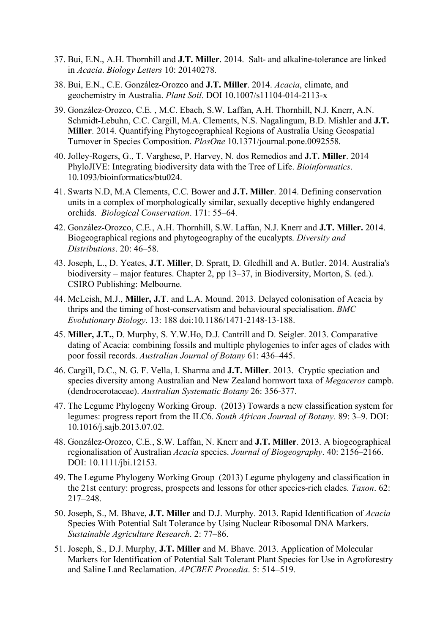- 37. Bui, E.N., A.H. Thornhill and **J.T. Miller**. 2014. Salt- and alkaline-tolerance are linked in *Acacia*. *Biology Letters* 10: 20140278.
- 38. Bui, E.N., C.E. González-Orozco and **J.T. Miller**. 2014. *Acacia*, climate, and geochemistry in Australia. *Plant Soil*. DOI 10.1007/s11104-014-2113-x
- 39. González-Orozco, C.E. , M.C. Ebach, S.W. Laffan, A.H. Thornhill, N.J. Knerr, A.N. Schmidt-Lebuhn, C.C. Cargill, M.A. Clements, N.S. Nagalingum, B.D. Mishler and **J.T. Miller**. 2014. Quantifying Phytogeographical Regions of Australia Using Geospatial Turnover in Species Composition. *PlosOne* 10.1371/journal.pone.0092558.
- 40. Jolley-Rogers, G., T. Varghese, P. Harvey, N. dos Remedios and **J.T. Miller**. 2014 PhyloJIVE: Integrating biodiversity data with the Tree of Life. *Bioinformatics*. 10.1093/bioinformatics/btu024.
- 41. Swarts N.D, M.A Clements, C.C. Bower and **J.T. Miller**. 2014. Defining conservation units in a complex of morphologically similar, sexually deceptive highly endangered orchids. *Biological Conservation*. 171: 55–64.
- 42. González-Orozco, C.E., A.H. Thornhill, S.W. Laffan, N.J. Knerr and **J.T. Miller.** 2014. Biogeographical regions and phytogeography of the eucalypts. *Diversity and Distributions*. 20: 46–58.
- 43. Joseph, L., D. Yeates, **J.T. Miller**, D. Spratt, D. Gledhill and A. Butler. 2014. Australia's biodiversity – major features. Chapter 2, pp 13–37, in Biodiversity, Morton, S. (ed.). CSIRO Publishing: Melbourne.
- 44. McLeish, M.J., **Miller, J.T**. and L.A. Mound. 2013. Delayed colonisation of Acacia by thrips and the timing of host-conservatism and behavioural specialisation. *BMC Evolutionary Biology*. 13: 188 doi:10.1186/1471-2148-13-188.
- 45. **Miller, J.T.,** D. Murphy, S. Y.W.Ho, D.J. Cantrill and D. Seigler. 2013. Comparative dating of Acacia: combining fossils and multiple phylogenies to infer ages of clades with poor fossil records. *Australian Journal of Botany* 61: 436–445.
- 46. Cargill, D.C., N. G. F. Vella, I. Sharma and **J.T. Miller**. 2013. Cryptic speciation and species diversity among Australian and New Zealand hornwort taxa of *Megaceros* campb. (dendrocerotaceae). *Australian Systematic Botany* 26: 356-377.
- 47. The Legume Phylogeny Working Group. (2013) Towards a new classification system for legumes: progress report from the ILC6. *South African Journal of Botany.* 89: 3–9. DOI: 10.1016/j.sajb.2013.07.02.
- 48. González-Orozco, C.E., S.W. Laffan, N. Knerr and **J.T. Miller**. 2013. A biogeographical regionalisation of Australian *Acacia* species. *Journal of Biogeography*. 40: 2156–2166. DOI: 10.1111/jbi.12153.
- 49. The Legume Phylogeny Working Group (2013) Legume phylogeny and classification in the 21st century: progress, prospects and lessons for other species-rich clades. *Taxon*. 62: 217–248.
- 50. Joseph, S., M. Bhave, **J.T. Miller** and D.J. Murphy. 2013. Rapid Identification of *Acacia*  Species With Potential Salt Tolerance by Using Nuclear Ribosomal DNA Markers. *Sustainable Agriculture Research*. 2: 77–86.
- 51. Joseph, S., D.J. Murphy, **J.T. Miller** and M. Bhave. 2013. Application of Molecular Markers for Identification of Potential Salt Tolerant Plant Species for Use in Agroforestry and Saline Land Reclamation. *APCBEE Procedia*. 5: 514–519.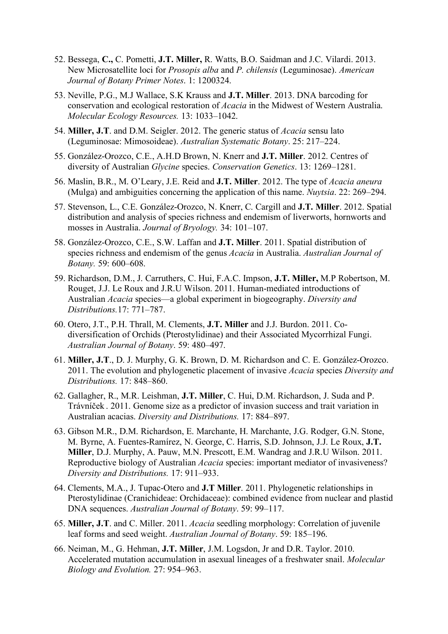- 52. Bessega, **C.,** C. Pometti, **J.T. Miller,** R. Watts, B.O. Saidman and J.C. Vilardi. 2013. New Microsatellite loci for *Prosopis alba* and *P. chilensis* (Leguminosae). *American Journal of Botany Primer Notes*. 1: 1200324.
- 53. Neville, P.G., M.J Wallace, S.K Krauss and **J.T. Miller**. 2013. DNA barcoding for conservation and ecological restoration of *Acacia* in the Midwest of Western Australia. *Molecular Ecology Resources.* 13: 1033–1042.
- 54. **Miller, J.T**. and D.M. Seigler. 2012. The generic status of *Acacia* sensu lato (Leguminosae: Mimosoideae). *Australian Systematic Botany*. 25: 217–224.
- 55. González-Orozco, C.E., A.H.D Brown, N. Knerr and **J.T. Miller**. 2012. Centres of diversity of Australian *Glycine* species. *Conservation Genetics*. 13: 1269–1281.
- 56. Maslin, B.R., M. O'Leary, J.E. Reid and **J.T. Miller**. 2012. The type of *Acacia aneura* (Mulga) and ambiguities concerning the application of this name. *Nuytsia*. 22: 269–294.
- 57. Stevenson, L., C.E. González-Orozco, N. Knerr, C. Cargill and **J.T. Miller**. 2012. Spatial distribution and analysis of species richness and endemism of liverworts, hornworts and mosses in Australia. *Journal of Bryology.* 34: 101–107.
- 58. González-Orozco, C.E., S.W. Laffan and **J.T. Miller**. 2011. Spatial distribution of species richness and endemism of the genus *Acacia* in Australia. *Australian Journal of Botany.* 59: 600–608.
- 59. Richardson, D.M., J. Carruthers, C. Hui, F.A.C. Impson, **J.T. Miller,** M.P Robertson, M. Rouget, J.J. Le Roux and J.R.U Wilson. 2011. Human-mediated introductions of Australian *Acacia* species—a global experiment in biogeography. *Diversity and Distributions.*17: 771–787.
- 60. Otero, J.T., P.H. Thrall, M. Clements, **J.T. Miller** and J.J. Burdon. 2011. Codiversification of Orchids (Pterostylidinae) and their Associated Mycorrhizal Fungi. *Australian Journal of Botany*. 59: 480–497.
- 61. **Miller, J.T**., D. J. Murphy, G. K. Brown, D. M. Richardson and C. E. González-Orozco. 2011. The evolution and phylogenetic placement of invasive *Acacia* species *Diversity and Distributions.* 17: 848–860.
- 62. Gallagher, R., M.R. Leishman, **J.T. Miller**, C. Hui, D.M. Richardson, J. Suda and P. Trávníček . 2011. Genome size as a predictor of invasion success and trait variation in Australian acacias. *Diversity and Distributions.* 17: 884–897.
- 63. Gibson M.R., D.M. Richardson, E. Marchante, H. Marchante, J.G. Rodger, G.N. Stone, M. Byrne, A. Fuentes-Ramírez, N. George, C. Harris, S.D. Johnson, J.J. Le Roux, **J.T. Miller**, D.J. Murphy, A. Pauw, M.N. Prescott, E.M. Wandrag and J.R.U Wilson. 2011. Reproductive biology of Australian *Acacia* species: important mediator of invasiveness? *Diversity and Distributions.* 17: 911–933.
- 64. Clements, M.A., J. Tupac-Otero and **J.T Miller**. 2011. Phylogenetic relationships in Pterostylidinae (Cranichideae: Orchidaceae): combined evidence from nuclear and plastid DNA sequences. *Australian Journal of Botany*. 59: 99–117.
- 65. **Miller, J.T**. and C. Miller. 2011. *Acacia* seedling morphology: Correlation of juvenile leaf forms and seed weight. *Australian Journal of Botany*. 59: 185–196.
- 66. Neiman, M., G. Hehman, **J.T. Miller**, J.M. Logsdon, Jr and D.R. Taylor. 2010. Accelerated mutation accumulation in asexual lineages of a freshwater snail. *Molecular Biology and Evolution.* 27: 954–963.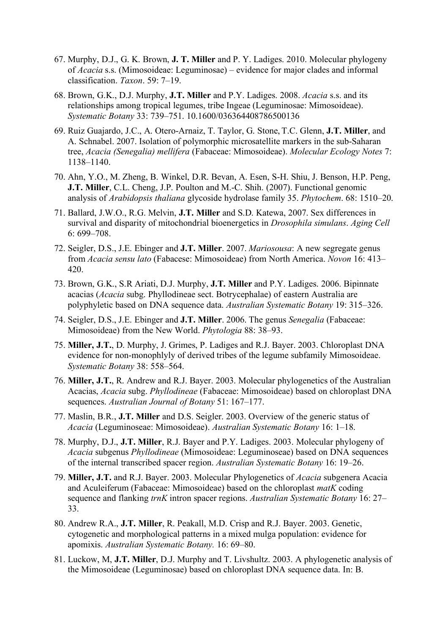- 67. Murphy, D.J., G. K. Brown, **J. T. Miller** and P. Y. Ladiges. 2010. Molecular phylogeny of *Acacia* s.s. (Mimosoideae: Leguminosae) – evidence for major clades and informal classification. *Taxon*. 59: 7–19.
- 68. Brown, G.K., D.J. Murphy, **J.T. Miller** and P.Y. Ladiges. 2008. *Acacia* s.s. and its relationships among tropical legumes, tribe Ingeae (Leguminosae: Mimosoideae). *Systematic Botany* 33: 739–751. 10.1600/036364408786500136
- 69. Ruiz Guajardo, J.C., A. Otero-Arnaiz, T. Taylor, G. Stone, T.C. Glenn, **J.T. Miller**, and A. Schnabel. 2007. Isolation of polymorphic microsatellite markers in the sub-Saharan tree, *Acacia (Senegalia) mellifera* (Fabaceae: Mimosoideae). *Molecular Ecology Notes* 7: 1138–1140.
- 70. Ahn, Y.O., M. Zheng, B. Winkel, D.R. Bevan, A. Esen, S-H. Shiu, J. Benson, H.P. Peng, **J.T. Miller**, C.L. Cheng, J.P. Poulton and M.-C. Shih. (2007). Functional genomic analysis of *Arabidopsis thaliana* glycoside hydrolase family 35. *Phytochem*. 68: 1510–20.
- 71. Ballard, J.W.O., R.G. Melvin, **J.T. Miller** and S.D. Katewa, 2007. Sex differences in survival and disparity of mitochondrial bioenergetics in *Drosophila simulans*. *Aging Cell* 6: 699–708.
- 72. Seigler, D.S., J.E. Ebinger and **J.T. Miller**. 2007. *Mariosousa*: A new segregate genus from *Acacia sensu lato* (Fabacese: Mimosoideae) from North America. *Novon* 16: 413– 420.
- 73. Brown, G.K., S.R Ariati, D.J. Murphy, **J.T. Miller** and P.Y. Ladiges. 2006. Bipinnate acacias (*Acacia* subg. Phyllodineae sect. Botrycephalae) of eastern Australia are polyphyletic based on DNA sequence data. *Australian Systematic Botany* 19: 315–326.
- 74. Seigler, D.S., J.E. Ebinger and **J.T. Miller**. 2006. The genus *Senegalia* (Fabaceae: Mimosoideae) from the New World. *Phytologia* 88: 38–93.
- 75. **Miller, J.T.**, D. Murphy, J. Grimes, P. Ladiges and R.J. Bayer. 2003. Chloroplast DNA evidence for non-monophlyly of derived tribes of the legume subfamily Mimosoideae. *Systematic Botany* 38: 558–564.
- 76. **Miller, J.T.**, R. Andrew and R.J. Bayer. 2003. Molecular phylogenetics of the Australian Acacias, *Acacia* subg. *Phyllodineae* (Fabaceae: Mimosoideae) based on chloroplast DNA sequences. *Australian Journal of Botany* 51: 167–177.
- 77. Maslin, B.R., **J.T. Miller** and D.S. Seigler. 2003. Overview of the generic status of *Acacia* (Leguminoseae: Mimosoideae). *Australian Systematic Botany* 16: 1–18.
- 78. Murphy, D.J., **J.T. Miller**, R.J. Bayer and P.Y. Ladiges. 2003. Molecular phylogeny of *Acacia* subgenus *Phyllodineae* (Mimosoideae: Leguminoseae) based on DNA sequences of the internal transcribed spacer region. *Australian Systematic Botany* 16: 19–26.
- 79. **Miller, J.T.** and R.J. Bayer. 2003. Molecular Phylogenetics of *Acacia* subgenera Acacia and Aculeiferum (Fabaceae: Mimosoideae) based on the chloroplast *matK* coding sequence and flanking *trnK* intron spacer regions. *Australian Systematic Botany* 16: 27– 33.
- 80. Andrew R.A., **J.T. Miller**, R. Peakall, M.D. Crisp and R.J. Bayer. 2003. Genetic, cytogenetic and morphological patterns in a mixed mulga population: evidence for apomixis. *Australian Systematic Botany.* 16: 69–80.
- 81. Luckow, M, **J.T. Miller**, D.J. Murphy and T. Livshultz. 2003. A phylogenetic analysis of the Mimosoideae (Leguminosae) based on chloroplast DNA sequence data. In: B.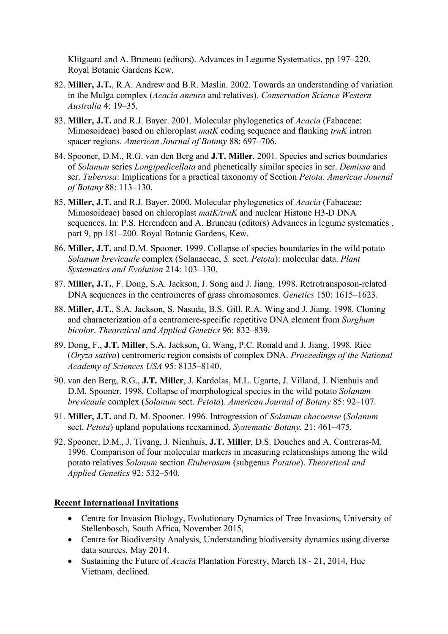Klitgaard and A. Bruneau (editors). Advances in Legume Systematics, pp 197–220. Royal Botanic Gardens Kew.

- 82. **Miller, J.T.**, R.A. Andrew and B.R. Maslin. 2002. Towards an understanding of variation in the Mulga complex (*Acacia aneura* and relatives). *Conservation Science Western Australia* 4: 19–35.
- 83. **Miller, J.T.** and R.J. Bayer. 2001. Molecular phylogenetics of *Acacia* (Fabaceae: Mimosoideae) based on chloroplast *matK* coding sequence and flanking *trnK* intron spacer regions. *American Journal of Botany* 88: 697–706.
- 84. Spooner, D.M., R.G. van den Berg and **J.T. Miller**. 2001. Species and series boundaries of *Solanum* series *Longipedicellata* and phenetically similar species in ser. *Demissa* and ser. *Tuberosa*: Implications for a practical taxonomy of Section *Petota*. *American Journal of Botany* 88: 113–130.
- 85. **Miller, J.T.** and R.J. Bayer. 2000. Molecular phylogenetics of *Acacia* (Fabaceae: Mimosoideae) based on chloroplast *matK/trnK* and nuclear Histone H3-D DNA sequences. In: P.S. Herendeen and A. Bruneau (editors) Advances in legume systematics , part 9, pp 181–200. Royal Botanic Gardens, Kew.
- 86. **Miller, J.T.** and D.M. Spooner. 1999. Collapse of species boundaries in the wild potato *Solanum brevicaule* complex (Solanaceae, *S.* sect. *Petota*): molecular data. *Plant Systematics and Evolution* 214: 103–130.
- 87. **Miller, J.T.**, F. Dong, S.A. Jackson, J. Song and J. Jiang. 1998. Retrotransposon-related DNA sequences in the centromeres of grass chromosomes. *Genetics* 150: 1615–1623.
- 88. **Miller, J.T.**, S.A. Jackson, S. Nasuda, B.S. Gill, R.A. Wing and J. Jiang. 1998. Cloning and characterization of a centromere-specific repetitive DNA element from *Sorghum bicolor*. *Theoretical and Applied Genetics* 96: 832–839.
- 89. Dong, F., **J.T. Miller**, S.A. Jackson, G. Wang, P.C. Ronald and J. Jiang. 1998. Rice (*Oryza sativa*) centromeric region consists of complex DNA. *Proceedings of the National Academy of Sciences USA* 95: 8135–8140.
- 90. van den Berg, R.G., **J.T. Miller**, J. Kardolas, M.L. Ugarte, J. Villand, J. Nienhuis and D.M. Spooner. 1998. Collapse of morphological species in the wild potato *Solanum brevicaule* complex (*Solanum* sect. *Petota*). *American Journal of Botany* 85: 92–107.
- 91. **Miller, J.T.** and D. M. Spooner. 1996. Introgression of *Solanum chacoense* (*Solanum* sect. *Petota*) upland populations reexamined. *Systematic Botany.* 21: 461–475.
- 92. Spooner, D.M., J. Tivang, J. Nienhuis, **J.T. Miller**, D.S. Douches and A. Contreras-M. 1996. Comparison of four molecular markers in measuring relationships among the wild potato relatives *Solanum* section *Etuberosum* (subgenus *Potatoe*). *Theoretical and Applied Genetics* 92: 532–540.

### **Recent International Invitations**

- Centre for Invasion Biology, Evolutionary Dynamics of Tree Invasions, University of Stellenbosch, South Africa, November 2015,
- Centre for Biodiversity Analysis, Understanding biodiversity dynamics using diverse data sources, May 2014.
- Sustaining the Future of *Acacia* Plantation Forestry, March 18 21, 2014, Hue Vietnam, declined.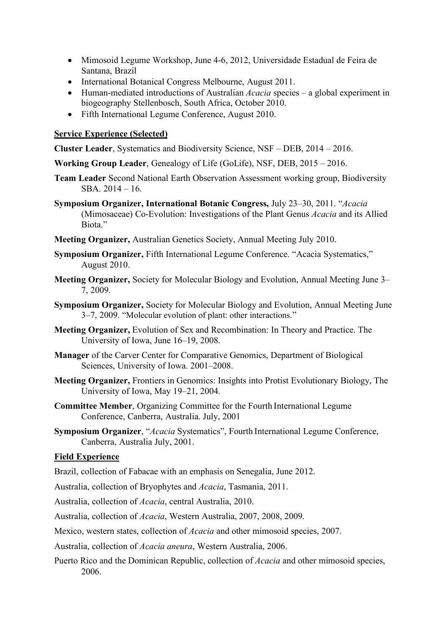- Mimosoid Legume Workshop, June 4-6, 2012, Universidade Estadual de Feira de Santana, Brazil
- International Botanical Congress Melbourne, August 2011.
- Human-mediated introductions of Australian *Acacia* species a global experiment in biogeography Stellenbosch, South Africa, October 2010.
- Fifth International Legume Conference, August 2010.

### **Service Experience (Selected)**

**Cluster Leader**, Systematics and Biodiversity Science, NSF – DEB, 2014 – 2016.

**Working Group Leader**, Genealogy of Life (GoLife), NSF, DEB, 2015 – 2016.

- **Team Leader** Second National Earth Observation Assessment working group, Biodiversity SBA. 2014 – 16.
- **Symposium Organizer, International Botanic Congress,** July 23–30, 2011. "*Acacia* (Mimosaceae) Co-Evolution: Investigations of the Plant Genus *Acacia* and its Allied Biota<sup>"</sup>
- **Meeting Organizer,** Australian Genetics Society, Annual Meeting July 2010.
- **Symposium Organizer, Fifth International Legume Conference. "Acacia Systematics."** August 2010.
- **Meeting Organizer,** Society for Molecular Biology and Evolution, Annual Meeting June 3– 7, 2009.
- **Symposium Organizer,** Society for Molecular Biology and Evolution, Annual Meeting June 3–7, 2009. "Molecular evolution of plant: other interactions."
- **Meeting Organizer,** Evolution of Sex and Recombination: In Theory and Practice. The University of Iowa, June 16–19, 2008.
- **Manager** of the Carver Center for Comparative Genomics, Department of Biological Sciences, University of Iowa. 2001–2008.
- **Meeting Organizer,** Frontiers in Genomics: Insights into Protist Evolutionary Biology, The University of Iowa, May 19–21, 2004.
- **Committee Member**, Organizing Committee for the Fourth International Legume Conference, Canberra, Australia. July, 2001
- **Symposium Organizer**, "*Acacia* Systematics", Fourth International Legume Conference, Canberra, Australia July, 2001.

# **Field Experience**

Brazil, collection of Fabacae with an emphasis on Senegalia, June 2012.

Australia, collection of Bryophytes and *Acacia*, Tasmania, 2011.

Australia, collection of *Acacia*, central Australia, 2010.

Australia, collection of *Acacia*, Western Australia, 2007, 2008, 2009.

Mexico, western states, collection of *Acacia* and other mimosoid species, 2007.

Australia, collection of *Acacia aneura*, Western Australia, 2006.

Puerto Rico and the Dominican Republic, collection of *Acacia* and other mimosoid species, 2006.